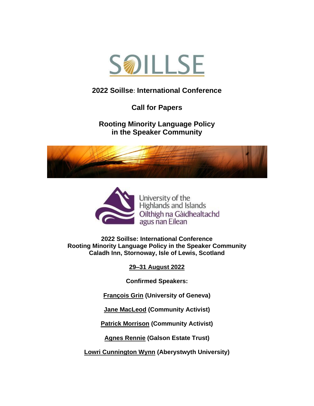

# **[2022 Soillse](http://www.soillse.ac.uk/en/soillsefel-conference-2016/)**: **International Conference**

**Call for Papers**

**Rooting Minority Language Policy in the Speaker Community**





**2022 Soillse: International Conference Rooting Minority Language Policy in the Speaker Community Caladh Inn, Stornoway, Isle of Lewis, Scotland**

**29–31 August 2022**

**Confirmed Speakers:**

**[François Grin](zhttps://www.unige.ch/fti/elf/en/equipe/grin) [\(University of Geneva\)](https://www.unige.ch/fti/elf/en/equipe/grin/)**

**Jane MacLeod (Community Activist)**

**Patrick Morrison (Community Activist)**

**[Agnes Rennie](https://www.galsontrust.com/board-of-directors-1) [\(Galson Estate Trust\)](https://www.galsontrust.com/board-of-directors-1)**

**[Lowri Cunnington Wynn](https://www.aber.ac.uk/en/lac/staff-profiles/listing/profile/lac48/) [\(Aberystwyth](https://www.aber.ac.uk/en/lac/staff-profiles/listing/profile/lac48/) University)**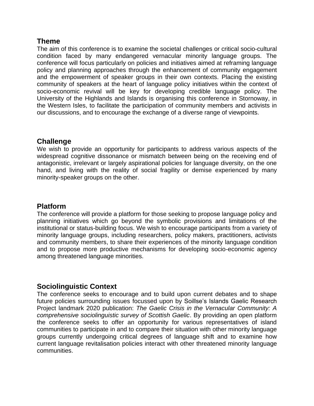#### **Theme**

The aim of this conference is to examine the societal challenges or critical socio-cultural condition faced by many endangered vernacular minority language groups. The conference will focus particularly on policies and initiatives aimed at reframing language policy and planning approaches through the enhancement of community engagement and the empowerment of speaker groups in their own contexts. Placing the existing community of speakers at the heart of language policy initiatives within the context of socio-economic revival will be key for developing credible language policy. The University of the Highlands and Islands is organising this conference in Stornoway, in the Western Isles, to facilitate the participation of community members and activists in our discussions, and to encourage the exchange of a diverse range of viewpoints.

## **Challenge**

We wish to provide an opportunity for participants to address various aspects of the widespread cognitive dissonance or mismatch between being on the receiving end of antagonistic, irrelevant or largely aspirational policies for language diversity, on the one hand, and living with the reality of social fragility or demise experienced by many minority-speaker groups on the other.

#### **Platform**

The conference will provide a platform for those seeking to propose language policy and planning initiatives which go beyond the symbolic provisions and limitations of the institutional or status-building focus. We wish to encourage participants from a variety of minority language groups, including researchers, policy makers, practitioners, activists and community members, to share their experiences of the minority language condition and to propose more productive mechanisms for developing socio-economic agency among threatened language minorities.

## **Sociolinguistic Context**

The conference seeks to encourage and to build upon current debates and to shape future policies surrounding issues focussed upon by Soillse's Islands Gaelic Research Project landmark 2020 publication: *The Gaelic Crisis in the Vernacular Community: A comprehensive sociolinguistic survey of Scottish Gaelic*. By providing an open platform the conference seeks to offer an opportunity for various representatives of island communities to participate in and to compare their situation with other minority language groups currently undergoing critical degrees of language shift and to examine how current language revitalisation policies interact with other threatened minority language communities.